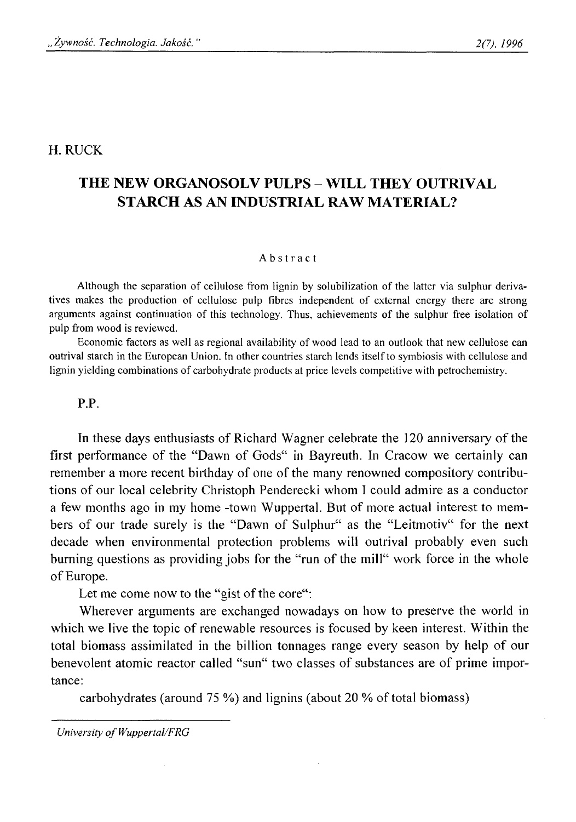# H. RUCK

# **THE NEW ORGANOSOLV PULPS - WILL THEY OUTRIVAL STARCH AS AN INDUSTRIAL RAW MATERIAL?**

#### Abstract

**Although the separation of cellulose from lignin by solubilization of the latter via sulphur deriva**tives makes the production of cellulose pulp fibres independent of external energy there are strong **arguments against continuation of this technology. Thus, achievements of the sulphur free isolation of pulp from wood is reviewed.**

Economic factors as well as regional availability of wood lead to an outlook that new cellulose can **outrival starch in the European Union. In other countries starch lends itself to symbiosis with cellulose and** lignin yielding combinations of carbohydrate products at price levels competitive with petrochemistry.

### P.P.

In these days enthusiasts of Richard Wagner celebrate the 120 anniversary of the first performance of the "Dawn of Gods" in Bayreuth. In Cracow we certainly can remember a more recent birthday of one of the many renowned compository contributions of our local celebrity Christoph Penderecki whom I could admire as a conductor a few months ago in my home -town Wuppertal. But of more actual interest to members of our trade surely is the "Dawn of Sulphur" as the "Leitmotiv" for the next decade when environmental protection problems will outrival probably even such burning questions as providing jobs for the "run of the mill" work force in the whole of Europe.

Let me come now to the "gist of the core":

Wherever arguments are exchanged nowadays on how to preserve the world in which we live the topic of renewable resources is focused by keen interest. Within the total biomass assimilated in the billion tonnages range every season by help of our benevolent atomic reactor called "sun" two classes of substances are of prime importance:

carbohydrates (around 75 %) and lignins (about 20 % of total biomass)

*University of Wuppertal/FRG*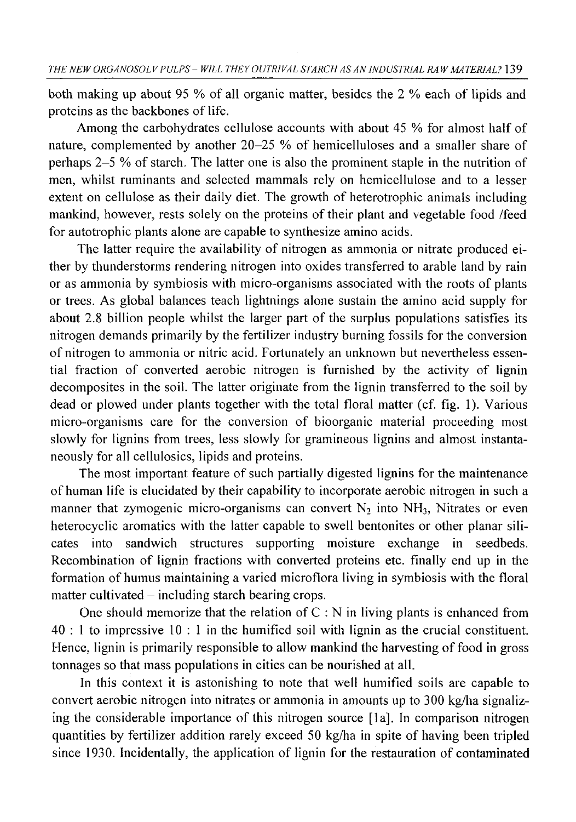both making up about 95 % of all organic matter, besides the 2 % each of lipids and proteins as the backbones of life.

Among the carbohydrates cellulose accounts with about 45 % for almost half of nature, complemented by another 20-25 % of hemicelluloses and a smaller share of perhaps 2-5 % of starch. The latter one is also the prominent staple in the nutrition of men, whilst ruminants and selected mammals rely on hemicellulose and to a lesser extent on cellulose as their daily diet. The growth of heterotrophic animals including mankind, however, rests solely on the proteins of their plant and vegetable food /feed for autotrophic plants alone are capable to synthesize amino acids.

The latter require the availability of nitrogen as ammonia or nitrate produced either by thunderstorms rendering nitrogen into oxides transferred to arable land by rain or as ammonia by symbiosis with micro-organisms associated with the roots of plants or trees. As global balances teach lightnings alone sustain the amino acid supply for about 2.8 billion people whilst the larger part of the surplus populations satisfies its nitrogen demands primarily by the fertilizer industry burning fossils for the conversion of nitrogen to ammonia or nitric acid. Fortunately an unknown but nevertheless essential fraction of converted aerobic nitrogen is furnished by the activity of lignin decomposites in the soil. The latter originate from the lignin transferred to the soil by dead or plowed under plants together with the total floral matter (cf. fig. 1). Various micro-organisms care for the conversion of bioorganic material proceeding most slowly for lignins from trees, less slowly for gramineous lignins and almost instantaneously for all cellulosics, lipids and proteins.

The most important feature of such partially digested lignins for the maintenance of human life is elucidated by their capability to incorporate aerobic nitrogen in such a manner that zymogenic micro-organisms can convert  $N_2$  into  $NH_3$ , Nitrates or even heterocyclic aromatics with the latter capable to swell bentonites or other planar silicates into sandwich structures supporting moisture exchange in seedbeds. Recombination of lignin fractions with converted proteins etc. finally end up in the formation of humus maintaining a varied microflora living in symbiosis with the floral  $matter$  cultivated  $-$  including starch bearing crops.

One should memorize that the relation of  $C : N$  in living plants is enhanced from 40 : 1 to impressive 10 : 1 in the humified soil with lignin as the crucial constituent. Hence, lignin is primarily responsible to allow mankind the harvesting of food in gross tonnages so that mass populations in cities can be nourished at all.

In this context it is astonishing to note that well humified soils are capable to convert aerobic nitrogen into nitrates or ammonia in amounts up to 300 kg/ha signalizing the considerable importance of this nitrogen source [la]. In comparison nitrogen quantities by fertilizer addition rarely exceed 50 kg/ha in spite of having been tripled since 1930. Incidentally, the application of lignin for the restauration of contaminated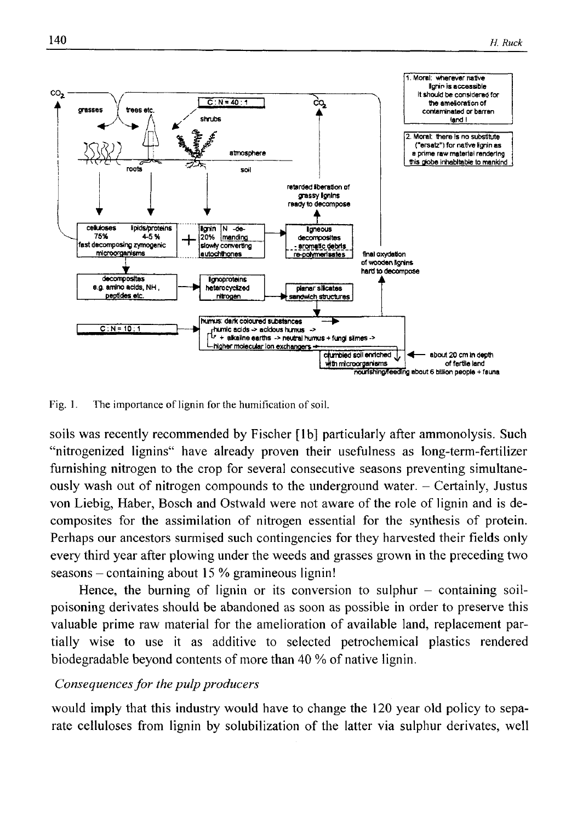

Fig. 1. The importance of lignin for the humification of soil.

soils was recently recommended by Fischer [lb] particularly after ammonolysis. Such "nitrogenized lignins" have already proven their usefulness as long-term-fertilizer furnishing nitrogen to the crop for several consecutive seasons preventing simultaneously wash out of nitrogen compounds to the underground water. - Certainly, Justus von Liebig, Haber, Bosch and Ostwald were not aware of the role of lignin and is decomposites for the assimilation of nitrogen essential for the synthesis of protein. Perhaps our ancestors surmised such contingencies for they harvested their fields only every third year after plowing under the weeds and grasses grown in the preceding two  $seasons$  - containing about 15 % gramineous lignin!

Hence, the burning of lignin or its conversion to sulphur  $-$  containing soilpoisoning derivates should be abandoned as soon as possible in order to preserve this valuable prime raw material for the amelioration of available land, replacement partially wise to use it as additive to selected petrochemical plastics rendered biodegradable beyond contents of more than 40 % of native lignin.

# *Consequences for the pulp producers*

would imply that this industry would have to change the 120 year old policy to separate celluloses from lignin by solubilization of the latter via sulphur derivates, well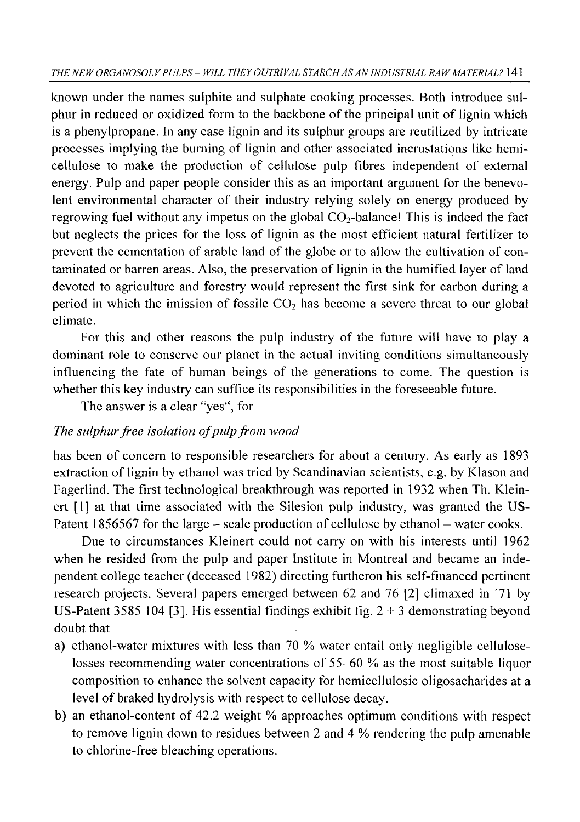known under the names sulphite and sulphate cooking processes. Both introduce sulphur in reduced or oxidized form to the backbone of the principal unit of lignin which is a phenylpropane. In any case lignin and its sulphur groups are reutilized by intricate processes implying the burning of lignin and other associated incrustations like hemicellulose to make the production of cellulose pulp fibres independent of external energy. Pulp and paper people consider this as an important argument for the benevolent environmental character of their industry relying solely on energy produced by regrowing fuel without any impetus on the global  $CO<sub>2</sub>$ -balance! This is indeed the fact but neglects the prices for the loss of lignin as the most efficient natural fertilizer to prevent the cementation of arable land of the globe or to allow the cultivation of contaminated or barren areas. Also, the preservation of lignin in the humified layer of land devoted to agriculture and forestry would represent the first sink for carbon during a period in which the imission of fossile  $CO<sub>2</sub>$  has become a severe threat to our global climate.

For this and other reasons the pulp industry of the future will have to play a dominant role to conserve our planet in the actual inviting conditions simultaneously influencing the fate of human beings of the generations to come. The question is whether this key industry can suffice its responsibilities in the foreseeable future.

The answer is a clear "yes", for

# *The sulphur free isolation of pulp from wood*

has been of concern to responsible researchers for about a century. As early as 1893 extraction of lignin by ethanol was tried by Scandinavian scientists, e.g. by Klason and Fagerlind. The first technological breakthrough was reported in 1932 when Th. Kleinert [1] at that time associated with the Silesion pulp industry, was granted the US-Patent 1856567 for the large – scale production of cellulose by ethanol – water cooks.

Due to circumstances Kleinert could not carry on with his interests until 1962 when he resided from the pulp and paper Institute in Montreal and became an independent college teacher (deceased 1982) directing furtheron his self-financed pertinent research projects. Several papers emerged between 62 and 76 [2] climaxed in '71 by US-Patent 3585 104 [3]. His essential findings exhibit fig.  $2 + 3$  demonstrating beyond doubt that

- a) ethanol-water mixtures with less than 70 % water entail only negligible celluloselosses recommending water concentrations of 55-60 % as the most suitable liquor composition to enhance the solvent capacity for hemicellulosic oligosacharides at a level of braked hydrolysis with respect to cellulose decay.
- b) an ethanol-content of 42.2 weight % approaches optimum conditions with respect to remove lignin down to residues between 2 and 4 % rendering the pulp amenable to chlorine-free bleaching operations.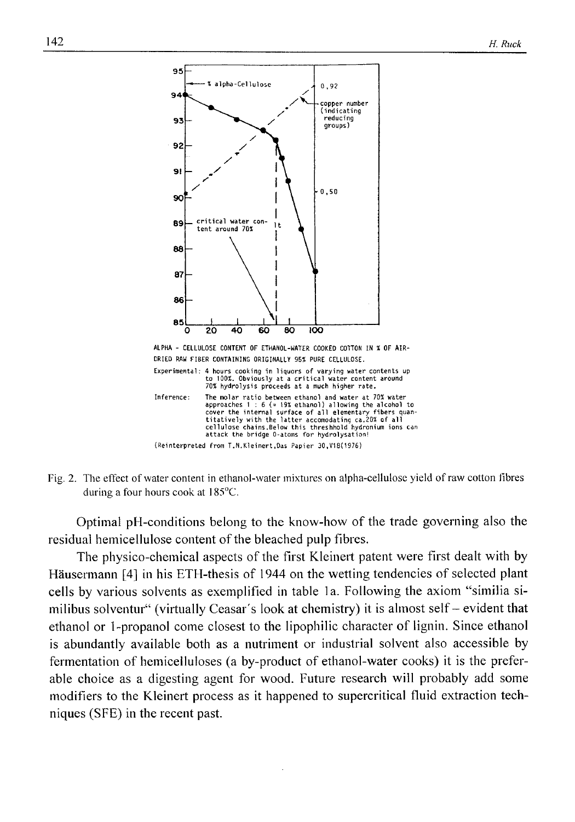

Fig. 2. The effect of water content in ethanol-water mixtures on alpha-cellulose yield of raw cotton fibres **during a four hours cook at 185°C.**

Optimal pH-conditions belong to the know-how of the trade governing also the residual hemicellulose content of the bleached pulp fibres.

The physico-chemical aspects of the first Kleinert patent were first dealt with by Hausermann [4] in his ETH-thesis of 1944 on the wetting tendencies of selected plant cells by various solvents as exemplified in table la. Following the axiom "similia similibus solventur" (virtually Ceasar's look at chemistry) it is almost self - evident that ethanol or 1-propanol come closest to the lipophilic character of lignin. Since ethanol is abundantly available both as a nutriment or industrial solvent also accessible by fermentation of hemicelluloses (a by-product of ethanol-water cooks) it is the preferable choice as a digesting agent for wood. Future research will probably add some modifiers to the Kleinert process as it happened to supercritical fluid extraction techniques (SFE) in the recent past.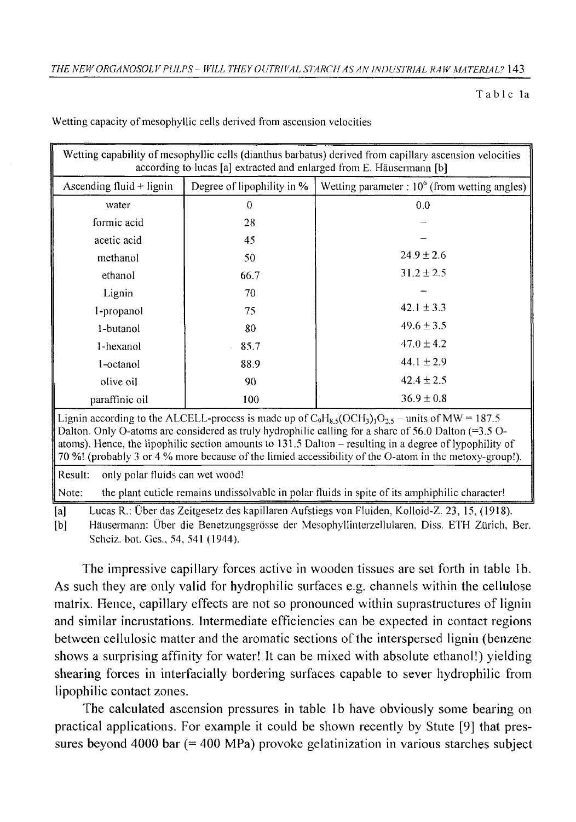**T a bl e la**

| Wetting capability of mesophyllic cells (dianthus barbatus) derived from capillary ascension velocities<br>according to lucas [a] extracted and enlarged from E. Häusermann [b]                                                                                                                                                                                                                                                                  |                            |                                                 |  |  |  |
|--------------------------------------------------------------------------------------------------------------------------------------------------------------------------------------------------------------------------------------------------------------------------------------------------------------------------------------------------------------------------------------------------------------------------------------------------|----------------------------|-------------------------------------------------|--|--|--|
| Ascending fluid $+$ lignin                                                                                                                                                                                                                                                                                                                                                                                                                       | Degree of lipophility in % | Wetting parameter : $106$ (from wetting angles) |  |  |  |
| water                                                                                                                                                                                                                                                                                                                                                                                                                                            | $\Omega$                   | 0.0                                             |  |  |  |
| formic acid                                                                                                                                                                                                                                                                                                                                                                                                                                      | 28                         |                                                 |  |  |  |
| acetic acid                                                                                                                                                                                                                                                                                                                                                                                                                                      | 45                         |                                                 |  |  |  |
| methanol                                                                                                                                                                                                                                                                                                                                                                                                                                         | 50                         | $24.9 \pm 2.6$                                  |  |  |  |
| ethanol                                                                                                                                                                                                                                                                                                                                                                                                                                          | 66.7                       | $31.2 \pm 2.5$                                  |  |  |  |
| Lignin                                                                                                                                                                                                                                                                                                                                                                                                                                           | 70                         |                                                 |  |  |  |
| 1-propanol                                                                                                                                                                                                                                                                                                                                                                                                                                       | 75                         | 42.1 $\pm$ 3.3                                  |  |  |  |
| 1-butanol                                                                                                                                                                                                                                                                                                                                                                                                                                        | 80                         | $49.6 \pm 3.5$                                  |  |  |  |
| 1-hexanol                                                                                                                                                                                                                                                                                                                                                                                                                                        | 85.7                       | $47.0 \pm 4.2$                                  |  |  |  |
| 1-octanol                                                                                                                                                                                                                                                                                                                                                                                                                                        | 88.9                       | $44.1 \pm 2.9$                                  |  |  |  |
| olive oil                                                                                                                                                                                                                                                                                                                                                                                                                                        | 90                         | $42.4 + 2.5$                                    |  |  |  |
| paraffinic oil                                                                                                                                                                                                                                                                                                                                                                                                                                   | 100                        | $36.9 \pm 0.8$                                  |  |  |  |
| Lignin according to the ALCELL-process is made up of $C_9H_{8,5}(OCH_3)_1O_{2,5}$ – units of MW = 187.5<br>Dalton. Only O-atoms are considered as truly hydrophilic calling for a share of 56.0 Dalton $(=3.5 \text{ O}-1)$<br>atoms). Hence, the lipophilic section amounts to 131.5 Dalton – resulting in a degree of lypophility of<br>70 %! (probably 3 or 4 % more because of the limied accessibility of the O-atom in the metoxy-group!). |                            |                                                 |  |  |  |
| Result:<br>only polar fluids can wet wood!                                                                                                                                                                                                                                                                                                                                                                                                       |                            |                                                 |  |  |  |
| the plant cuticle remains undissolvable in polar fluids in spite of its amphiphilic character!<br>Note:                                                                                                                                                                                                                                                                                                                                          |                            |                                                 |  |  |  |

**Wetting capacity of mesophyllic cells derived from ascension velocities**

**[a] Lucas R.: Uber das Zeitgesetz des kapillaren Aufstiegs von Fluiden, Kolloid-Z. 23, 15, (1918).**

**[b] Hausermann: Uber die Benetzungsgrosse der Mesophyllinterzellularen, Diss. ETH Zurich, Ber. Scheiz. bot. Ges., 54, 541 (1944).**

The impressive capillary forces active in wooden tissues are set forth in table lb. As such they are only valid for hydrophilic surfaces e.g. channels within the cellulose matrix. Hence, capillary effects are not so pronounced within suprastructures of lignin and similar incrustations. Intermediate efficiencies can be expected in contact regions between cellulosic matter and the aromatic sections of the interspersed lignin (benzene shows a surprising affinity for water! It can be mixed with absolute ethanol!) yielding shearing forces in interfacially bordering surfaces capable to sever hydrophilic from lipophilic contact zones.

The calculated ascension pressures in table 1b have obviously some bearing on practical applications. For example it could be shown recently by Stute [9] that pressures beyond 4000 bar (= 400 MPa) provoke gelatinization in various starches subject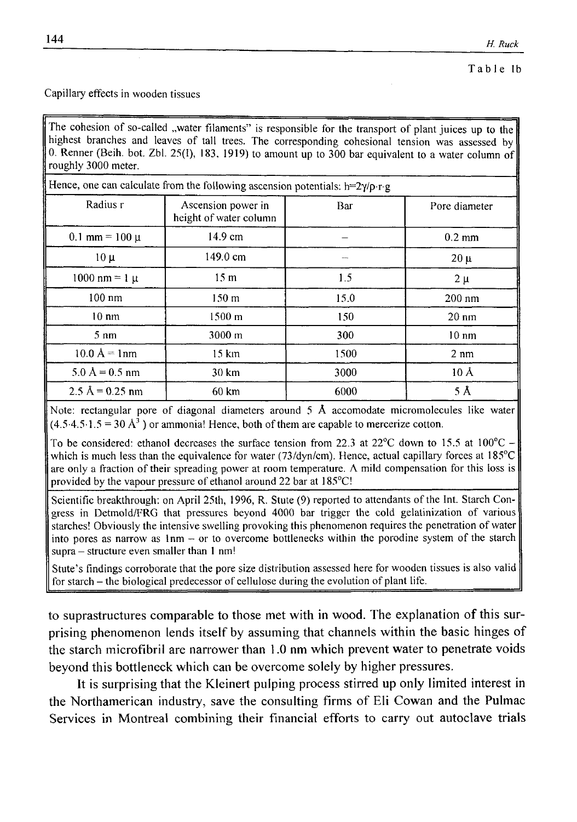### **Capillary effects in wooden tissues**

The cohesion of so-called "water filaments" is responsible for the transport of plant juices up to the highest branches and leaves of tall trees. The corresponding cohesional tension was assessed by **0. Renner (Beih. bot. Zbl. 25(1), 183, 1919) to amount up to 300 bar equivalent to a water column of roughly 3000 meter.**

| Hence, one can calculate from the following ascension potentials: $h=2\gamma/\rho \cdot r \cdot g$ |                                              |      |                 |  |  |
|----------------------------------------------------------------------------------------------------|----------------------------------------------|------|-----------------|--|--|
| Radius r                                                                                           | Ascension power in<br>height of water column | Bar  | Pore diameter   |  |  |
| $0.1$ mm = 100 $\mu$                                                                               | 14.9 cm                                      |      | $0.2$ mm        |  |  |
| $10 \mu$                                                                                           | 149.0 cm                                     | بسب  | $20 \mu$        |  |  |
| $1000 \text{ nm} = 1 \text{ }\mu$                                                                  | 15 <sub>m</sub>                              | 1.5  | $2 \mu$         |  |  |
| $100 \text{ nm}$                                                                                   | 150 <sub>m</sub>                             | 15.0 | $200$ nm        |  |  |
| $10 \text{ nm}$                                                                                    | $1500 \; \mathrm{m}$                         | 150  | $20 \text{ nm}$ |  |  |
| $5 \text{ nm}$                                                                                     | $3000 \text{ m}$                             | 300  | $10 \text{ nm}$ |  |  |
| $10.0 \text{ Å} = 1 \text{nm}$                                                                     | $15 \mathrm{km}$                             | 1500 | $2 \text{ nm}$  |  |  |
| $5.0 \text{ Å} = 0.5 \text{ nm}$                                                                   | 30 km                                        | 3000 | 10 Å            |  |  |
| $2.5 \text{ Å} = 0.25 \text{ nm}$                                                                  | $60 \text{ km}$                              | 6000 | 5 Å             |  |  |

**Note: rectangular pore of diagonal diameters around 5** A **accomodate micromolecules like water**  $(4.5.4.5.1.5 = 30 \text{ Å}^3)$  or ammonia! Hence, both of them are capable to mercerize cotton.

**To be considered: ethanol decreases the surface tension from 22.3 at 22°C down to 15.5 at 100°C which is much less than the equivalence for water (73/dyn/cm). Hence, actual capillary forces at 185°C are only a fraction of their spreading power at room temperature. A mild compensation for this loss is** provided by the vapour pressure of ethanol around 22 bar at 185°C!

**Scientific breakthrough: on April 25th, 1996, R. Stute (9) reported to attendants of the Int. Starch Congress in Detmold/FRG that pressures beyond 4000 bar trigger the cold gelatinization of various starches! Obviously the intensive swelling provoking this phenomenon requires the penetration of water** into pores as narrow as  $1nm - or$  to overcome bottlenecks within the porodine system of the starch **supra - structure even smaller than 1 nm!**

**Stute's findings corroborate that the pore size distribution assessed here for wooden tissues is also valid** for starch – the biological predecessor of cellulose during the evolution of plant life.

to suprastructures comparable to those met with in wood. The explanation of this surprising phenomenon lends itself by assuming that channels within the basic hinges of the starch microfibril are narrower than 1.0 nm which prevent water to penetrate voids beyond this bottleneck which can be overcome solely by higher pressures.

It is surprising that the Kleinert pulping process stirred up only limited interest in the Northamerican industry, save the consulting firms of Eli Cowan and the Pulmac Services in Montreal combining their financial efforts to carry out autoclave trials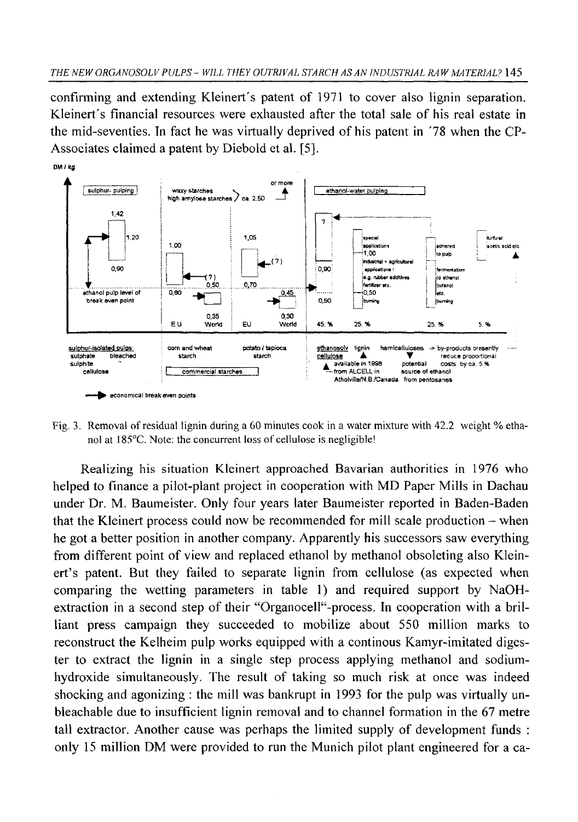confirming and extending Kleinert's patent of 1971 to cover also lignin separation. Kleinert's financial resources were exhausted after the total sale of his real estate in the mid-seventies. In fact he was virtually deprived of his patent in '78 when the CP-Associates claimed a patent by Diebold et al. [5].



**Fig. 3. Removal of residual lignin during a 60 minutes cook in a water mixture with 42.2 weight % etha**nol at 185<sup>°</sup>C. Note: the concurrent loss of cellulose is negligible!

Realizing his situation Kleinert approached Bavarian authorities in 1976 who helped to finance a pilot-plant project in cooperation with MD Paper Mills in Dachau under Dr. M. Baumeister. Only four years later Baumeister reported in Baden-Baden that the Kleinert process could now be recommended for mill scale production - when he got a better position in another company. Apparently his successors saw everything from different point of view and replaced ethanol by methanol obsoleting also Kleinert's patent. But they failed to separate lignin from cellulose (as expected when comparing the wetting parameters in table 1) and required support by NaOHextraction in a second step of their "OrganoceH"-process. In cooperation with a brilliant press campaign they succeeded to mobilize about 550 million marks to reconstruct the Kelheim pulp works equipped with a continous Kamyr-imitated digester to extract the lignin in a single step process applying methanol and sodiumhydroxide simultaneously. The result of taking so much risk at once was indeed shocking and agonizing : the mill was bankrupt in 1993 for the pulp was virtually unbleachable due to insufficient lignin removal and to channel formation in the 67 metre tall extractor. Another cause was perhaps the limited supply of development funds : only 15 million DM were provided to run the Munich pilot plant engineered for a ca-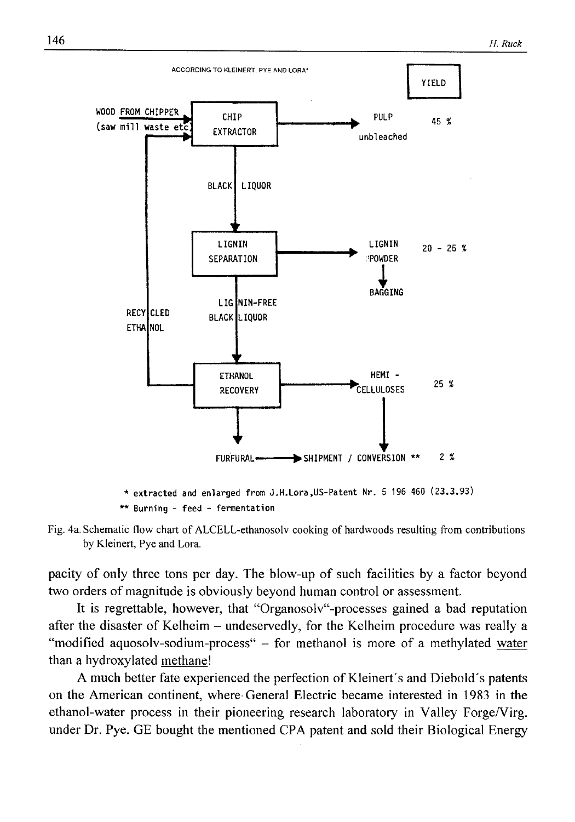





pacity of only three tons per day. The blow-up of such facilities by a factor beyond two orders of magnitude is obviously beyond human control or assessment.

It is regrettable, however, that "Organosolv"-processes gained a bad reputation after the disaster of Kelheim - undeservedly, for the Kelheim procedure was really a "modified aquosolv-sodium-process" - for methanol is more of a methylated water than a hydroxylated methane!

A much better fate experienced the perfection of Kleinert's and Diebold's patents on the American continent, where General Electric became interested in 1983 in the ethanol-water process in their pioneering research laboratory in Valley Forge/Virg. under Dr. Pye. GE bought the mentioned CPA patent and sold their Biological Energy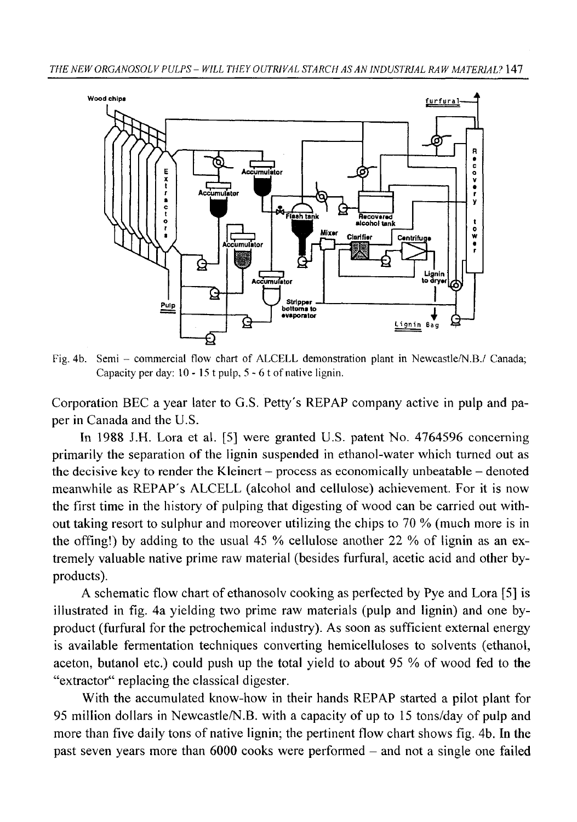

**Fig. 4b. Semi - commercial flow chart of ALCELL demonstration plant in Newcastle/N.B./ Canada; Capacity per day: 10 - 15 t pulp, 5 - 6 t of native lignin.**

Corporation BEC a year later to G.S. Petty's REPAP company active in pulp and paper in Canada and the U.S.

In 1988 J.H. Lora et al. [5] were granted U.S. patent No. 4764596 concerning primarily the separation of the lignin suspended in ethanol-water which turned out as the decisive key to render the Kleinert - process as economically unbeatable — denoted meanwhile as REPAP's ALCELL (alcohol and cellulose) achievement. For it is now the first time in the history of pulping that digesting of wood can be carried out without taking resort to sulphur and moreover utilizing the chips to 70 % (much more is in the offing!) by adding to the usual 45 % cellulose another 22 % of lignin as an extremely valuable native prime raw material (besides furfural, acetic acid and other byproducts).

A schematic flow chart of ethanosolv cooking as perfected by Pye and Lora [5] is illustrated in fig. 4a yielding two prime raw materials (pulp and lignin) and one byproduct (furfural for the petrochemical industry). As soon as sufficient external energy is available fermentation techniques converting hemicelluloses to solvents (ethanol, aceton, butanol etc.) could push up the total yield to about 95 % of wood fed to the "extractor" replacing the classical digester.

With the accumulated know-how in their hands REPAP started a pilot plant for 95 million dollars in Newcastle/N.B. with a capacity of up to 15 tons/day of pulp and more than five daily tons of native lignin; the pertinent flow chart shows fig. 4b. In the past seven years more than 6000 cooks were performed - and not a single one failed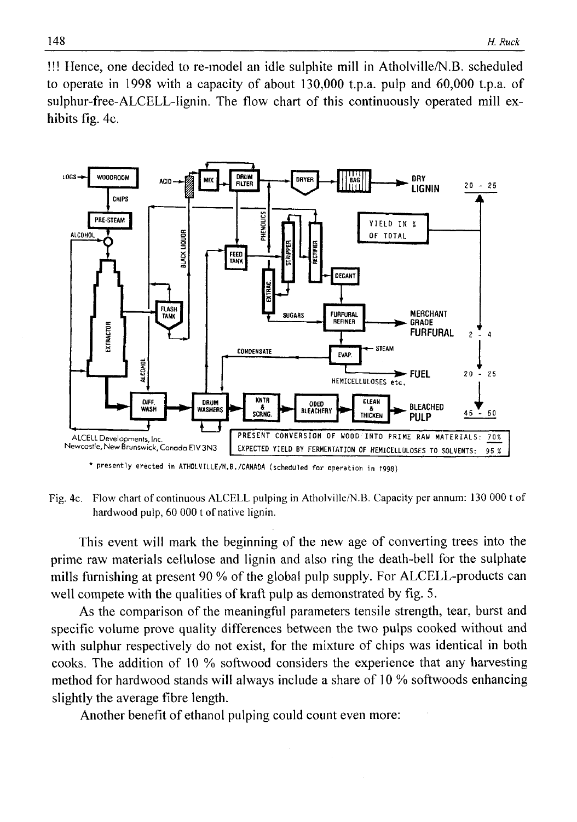!!! Hence, one decided to re-model an idle sulphite mill in Atholville/N.B. scheduled to operate in 1998 with a capacity of about 130,000 t.p.a. pulp and 60,000 t.p.a. of sulphur-free-ALCELL-lignin. The flow chart of this continuously operated mill exhibits fig. 4c.



\* presently erected in ATHOLVILLE/N.B./CANADA (scheduled for operation in 1998)

**Fig. 4c. Flow chart of continuous ALCELL pulping in Atholville/N.B. Capacity per annum: 130 000 t of hardwood pulp, 60 000 t of native lignin.**

This event will mark the beginning of the new age of converting trees into the prime raw materials cellulose and lignin and also ring the death-bell for the sulphate mills furnishing at present 90 % of the global pulp supply. For ALCELL-products can well compete with the qualities of kraft pulp as demonstrated by fig. 5.

As the comparison of the meaningful parameters tensile strength, tear, burst and specific volume prove quality differences between the two pulps cooked without and with sulphur respectively do not exist, for the mixture of chips was identical in both cooks. The addition of 10 % softwood considers the experience that any harvesting method for hardwood stands will always include a share of 10 % softwoods enhancing slightly the average fibre length.

Another benefit of ethanol pulping could count even more: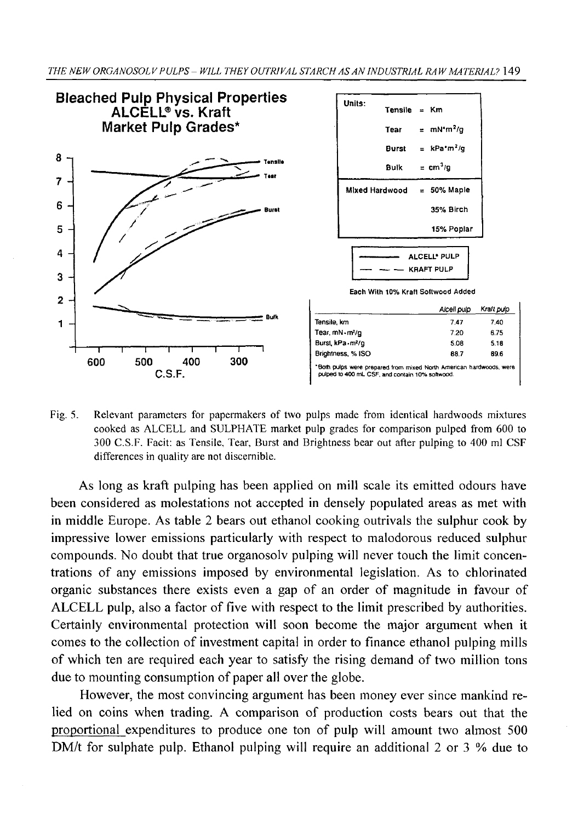

**Fig. 5. Relevant parameters for papermakers of two pulps made from identical hardwoods mixtures cooked as ALCELL and SULPHATE market pulp grades for comparison pulped from 600 to 300 C.S.F. Facit: as Tensile, Tear, Burst and Brightness bear out after pulping to 400 ml CSF differences in quality are not discernible.**

As long as kraft pulping has been applied on mill scale its emitted odours have been considered as molestations not accepted in densely populated areas as met with in middle Europe. As table 2 bears out ethanol cooking outrivals the sulphur cook by impressive lower emissions particularly with respect to malodorous reduced sulphur compounds. No doubt that true organosolv pulping will never touch the limit concentrations of any emissions imposed by environmental legislation. As to chlorinated organic substances there exists even a gap of an order of magnitude in favour of ALCELL pulp, also a factor of five with respect to the limit prescribed by authorities. Certainly environmental protection will soon become the major argument when it comes to the collection of investment capital in order to finance ethanol pulping mills of which ten are required each year to satisfy the rising demand of two million tons due to mounting consumption of paper all over the globe.

However, the most convincing argument has been money ever since mankind relied on coins when trading. A comparison of production costs bears out that the proportional expenditures to produce one ton of pulp will amount two almost 500 DM/t for sulphate pulp. Ethanol pulping will require an additional 2 or 3  $%$  due to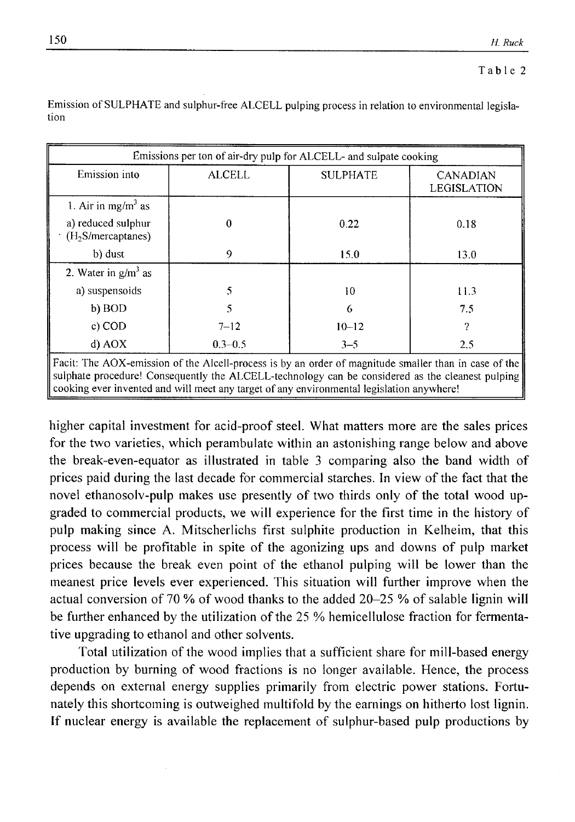| Emission into                                        | <b>ALCELL</b> | <b>SULPHATE</b> | <b>CANADIAN</b><br>LEGISLATION |
|------------------------------------------------------|---------------|-----------------|--------------------------------|
| 1. Air in mg/m <sup>3</sup> as                       |               |                 |                                |
| a) reduced sulphur<br>(H <sub>2</sub> S/mercaptanes) | $\theta$      | 0.22            | 0.18                           |
| b) dust                                              | 9             | 15.0            | 13.0                           |
| 2. Water in $g/m3$ as                                |               |                 |                                |
| a) suspensoids                                       | 5             | 10              | 11.3                           |
| b) BOD                                               | 5             | 6               | 7.5                            |
| $c)$ COD                                             | $7 - 12$      | $10 - 12$       | 9                              |
| d) AOX                                               | $0.3 - 0.5$   | $3 - 5$         | 2.5                            |

Emission of SULPHATE and sulphur-free ALCELL pulping process in relation to environmental legisla**tion**

higher capital investment for acid-proof steel. What matters more are the sales prices for the two varieties, which perambulate within an astonishing range below and above the break-even-equator as illustrated in table 3 comparing also the band width of prices paid during the last decade for commercial starches. In view of the fact that the novel ethanosolv-pulp makes use presently of two thirds only of the total wood upgraded to commercial products, we will experience for the first time in the history of pulp making since A. Mitscherlichs first sulphite production in Kelheim, that this process will be profitable in spite of the agonizing ups and downs of pulp market prices because the break even point of the ethanol pulping will be lower than the meanest price levels ever experienced. This situation will further improve when the actual conversion of 70 % of wood thanks to the added 20-25 % of salable lignin will be further enhanced by the utilization of the 25 % hemicellulose fraction for fermentative upgrading to ethanol and other solvents.

Total utilization of the wood implies that a sufficient share for mill-based energy production by burning of wood fractions is no longer available. Hence, the process depends on external energy supplies primarily from electric power stations. Fortunately this shortcoming is outweighed multifold by the earnings on hitherto lost lignin. If nuclear energy is available the replacement of sulphur-based pulp productions by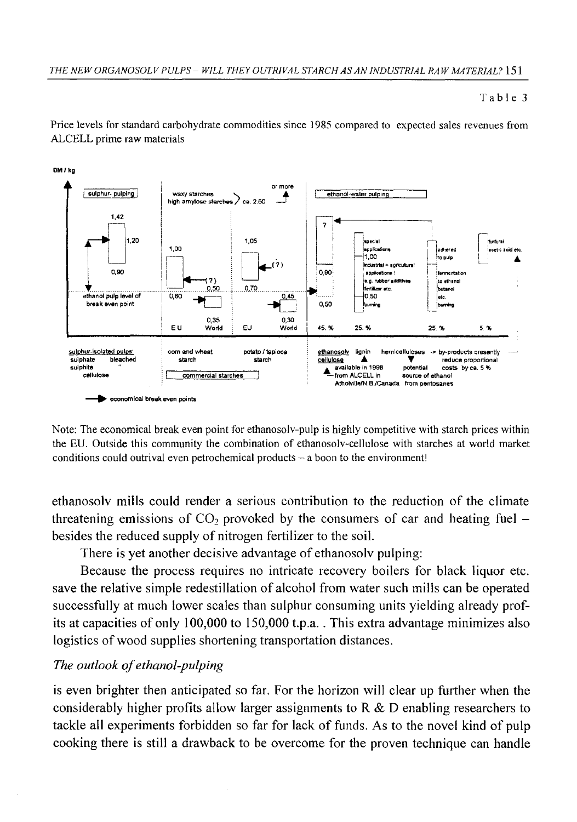#### **Table 3**

**Price levels for standard carbohydrate commodities since 1985 compared to expected sales revenues from ALCELL prime raw materials**



DM /kg

**Note: The economical break even point for ethanosolv-pulp is highly competitive with starch prices within the EU. Outside this community the combination of ethanosolv-cellulose with starches at world market conditions could outrival even petrochemical products - a boon to the environment!**

ethanosolv mills could render a serious contribution to the reduction of the climate threatening emissions of CO<sub>2</sub> provoked by the consumers of car and heating fuel  $$ besides the reduced supply of nitrogen fertilizer to the soil.

There is yet another decisive advantage of ethanosolv pulping:

Because the process requires no intricate recovery boilers for black liquor etc. save the relative simple redestillation of alcohol from water such mills can be operated successfully at much lower scales than sulphur consuming units yielding already profits at capacities of only 100,000 to 150,000 t.p.a. . This extra advantage minimizes also logistics of wood supplies shortening transportation distances.

# *The outlook of ethanol-pulping*

is even brighter then anticipated so far. For the horizon will clear up further when the considerably higher profits allow larger assignments to  $R \& D$  enabling researchers to tackle all experiments forbidden so far for lack of funds. As to the novel kind of pulp cooking there is still a drawback to be overcome for the proven technique can handle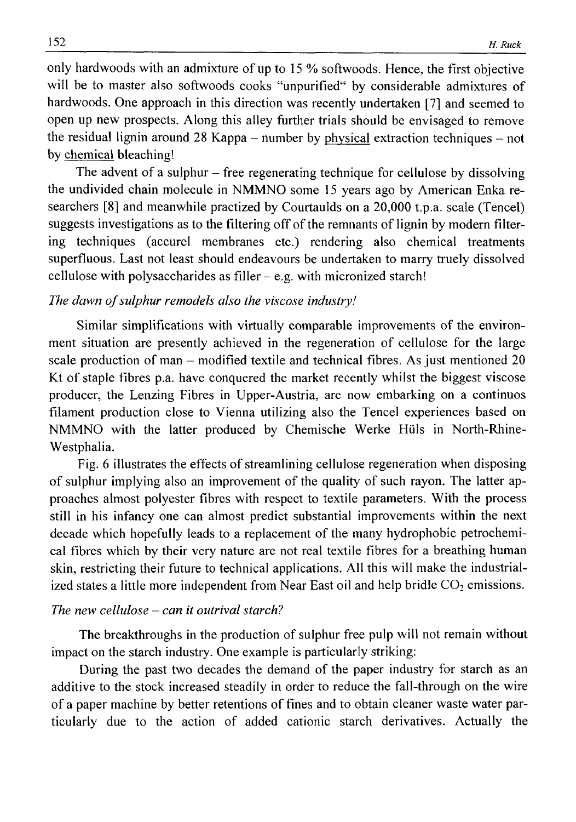only hardwoods with an admixture of up to 15 % softwoods. Hence, the first objective will be to master also softwoods cooks "unpurified" by considerable admixtures of hardwoods. One approach in this direction was recently undertaken [7] and seemed to open up new prospects. Along this alley further trials should be envisaged to remove the residual lignin around 28 Kappa  $-$  number by physical extraction techniques  $-$  not by chemical bleaching!

The advent of a sulphur  $-$  free regenerating technique for cellulose by dissolving the undivided chain molecule in NMMNO some 15 years ago by American Enka researchers [8] and meanwhile practized by Courtaulds on a 20,000 t.p.a. scale (Tencel) suggests investigations as to the filtering off of the remnants of lignin by modern filtering techniques (accurel membranes etc.) rendering also chemical treatments superfluous. Last not least should endeavours be undertaken to marry truely dissolved cellulose with polysaccharides as filler  $-e.g.$  with micronized starch!

## The dawn of sulphur remodels also the viscose industry!

Similar simplifications with virtually comparable improvements of the environment situation are presently achieved in the regeneration of cellulose for the large scale production of man - modified textile and technical fibres. As just mentioned 20 Kt of staple fibres p.a. have conquered the market recently whilst the biggest viscose producer, the Lenzing Fibres in Upper-Austria, are now embarking on a continuos filament production close to Vienna utilizing also the Tencel experiences based on NMMNO with the latter produced by Chemische Werke Hiils in North-Rhine-Westphalia.

Fig. 6 illustrates the effects of streamlining cellulose regeneration when disposing of sulphur implying also an improvement of the quality of such rayon. The latter approaches almost polyester fibres with respect to textile parameters. With the process still in his infancy one can almost predict substantial improvements within the next decade which hopefully leads to a replacement of the many hydrophobic petrochemical fibres which by their very nature are not real textile fibres for a breathing human skin, restricting their future to technical applications. All this will make the industrialized states a little more independent from Near East oil and help bridle  $CO<sub>2</sub>$  emissions.

## *The new cellulose — can it outrival starch?*

The breakthroughs in the production of sulphur free pulp will not remain without impact on the starch industry. One example is particularly striking:

During the past two decades the demand of the paper industry for starch as an additive to the stock increased steadily in order to reduce the fall-through on the wire of a paper machine by better retentions of fines and to obtain cleaner waste water particularly due to the action of added cationic starch derivatives. Actually the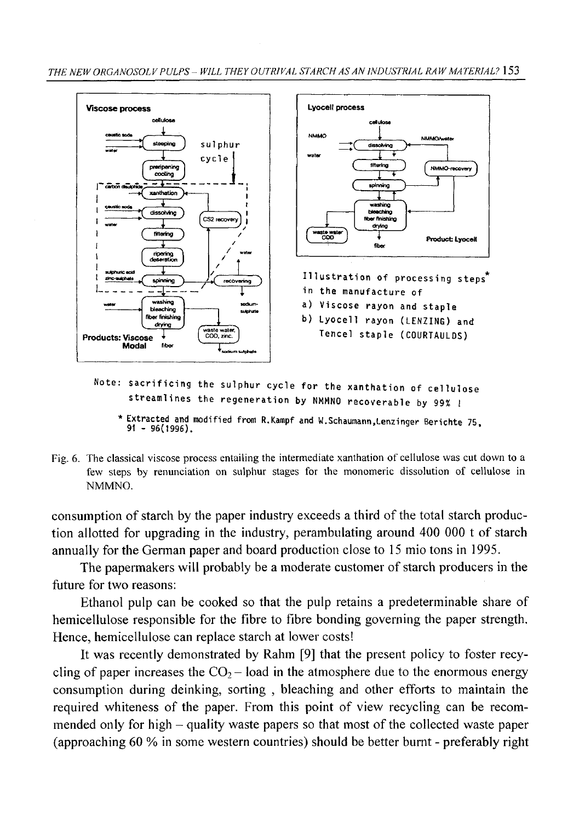

- Note: sacrificing the sulphur cycle for the xanthation of cellulose streamlines the regeneration by NMMNO recoverable by 99% !
	- **Extracted and modified from R.Kampf and W.Schaumann.Lenzinger Berichte 75 91 - 96(1996).**
- Fig. 6. The classical viscose process entailing the intermediate xanthation of cellulose was cut down to a **few steps by renunciation on sulphur stages for the monomeric dissolution of cellulose in NMMNO.**

consumption of starch by the paper industry exceeds a third of the total starch production allotted for upgrading in the industry, perambulating around 400 000 t of starch annually for the German paper and board production close to 15 mio tons in 1995.

The papermakers will probably be a moderate customer of starch producers in the future for two reasons:

Ethanol pulp can be cooked so that the pulp retains a predeterminable share of hemicellulose responsible for the fibre to fibre bonding governing the paper strength. Hence, hemicellulose can replace starch at lower costs!

It was recently demonstrated by Rahm [9] that the present policy to foster recycling of paper increases the  $CO<sub>2</sub> -$  load in the atmosphere due to the enormous energy consumption during deinking, sorting , bleaching and other efforts to maintain the required whiteness of the paper. From this point of view recycling can be recommended only for high – quality waste papers so that most of the collected waste paper (approaching 60 % in some western countries) should be better burnt - preferably right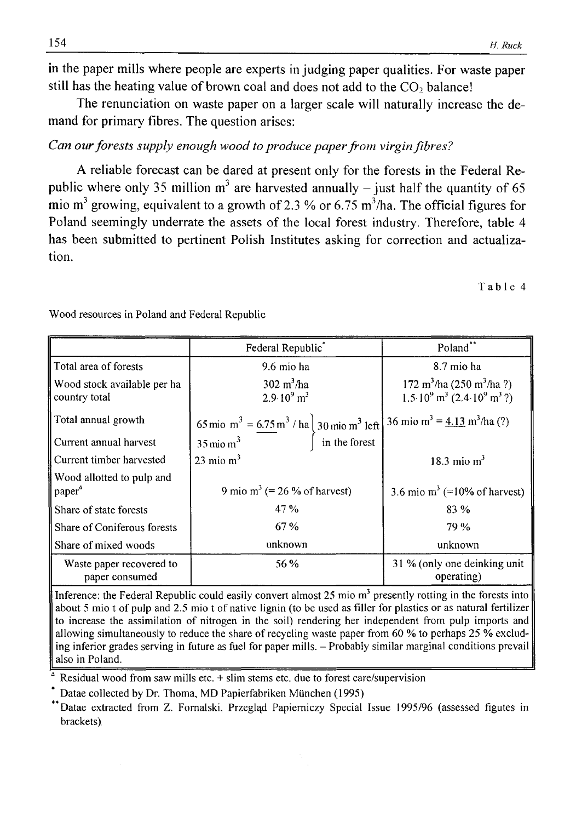in the paper mills where people are experts in judging paper qualities. For waste paper still has the heating value of brown coal and does not add to the CO<sub>2</sub> balance!

The renunciation on waste paper on a larger scale will naturally increase the demand for primary fibres. The question arises:

# *Can our forests supply enough wood to produce paper from virgin fibres?*

A reliable forecast can be dared at present only for the forests in the Federal Republic where only 35 million  $m<sup>3</sup>$  are harvested annually – just half the quantity of 65 mio  $m<sup>3</sup>$  growing, equivalent to a growth of 2.3 % or 6.75 m<sup>3</sup>/ha. The official figures for Poland seemingly underrate the assets of the local forest industry. Therefore, table 4 has been submitted to pertinent Polish Institutes asking for correction and actualization.

**Table 4**

|                                                 | Federal Republic                                                                                                                                                                 | Poland**                                                                                                                     |
|-------------------------------------------------|----------------------------------------------------------------------------------------------------------------------------------------------------------------------------------|------------------------------------------------------------------------------------------------------------------------------|
| Total area of forests                           | 9.6 mio ha                                                                                                                                                                       | 8.7 mio ha                                                                                                                   |
| Wood stock available per ha<br>country total    | $302 \text{ m}^3/\text{ha}$<br>$2.9 \cdot 10^9$ m <sup>3</sup>                                                                                                                   | 172 m <sup>3</sup> /ha (250 m <sup>3</sup> /ha ?)<br>$1.5 \cdot 10^{9}$ m <sup>3</sup> (2.4 $\cdot 10^{9}$ m <sup>3</sup> ?) |
| Total annual growth                             | 65 mio m <sup>3</sup> = $\frac{6.75 \text{ m}^3}{\text{ m}^3}$ / ha 30 mio m <sup>3</sup> left 36 mio m <sup>3</sup> = $\frac{4.13 \text{ m}^3}{\text{ h} \cdot \text{m}^3}$ (?) |                                                                                                                              |
| Current annual harvest                          |                                                                                                                                                                                  |                                                                                                                              |
| Current timber harvested                        | 23 mio $m3$                                                                                                                                                                      | 18.3 mio $m3$                                                                                                                |
| Wood allotted to pulp and<br>paper <sup>4</sup> | 9 mio m <sup>3</sup> (= 26 % of harvest)                                                                                                                                         | 3.6 mio m <sup>3</sup> (=10% of harvest)                                                                                     |
| Share of state forests                          | 47 %                                                                                                                                                                             | 83 %                                                                                                                         |
| Share of Coniferous forests                     | 67%                                                                                                                                                                              | 79 %                                                                                                                         |
| Share of mixed woods                            | unknown                                                                                                                                                                          | unknown                                                                                                                      |
| Waste paper recovered to<br>paper consumed      | 56 %                                                                                                                                                                             | 31 % (only one deinking unit<br>operating)                                                                                   |

**Wood resources in Poland and Federal Republic**

Inference: the Federal Republic could easily convert almost 25 mio m<sup>3</sup> presently rotting in the forests into about 5 mio t of pulp and 2.5 mio t of native lignin (to be used as filler for plastics or as natural fertilizer to increase the assimilation of nitrogen in the soil) rendering her independent from pulp imports and **allowing simultaneously to reduce the share of recycling waste paper from 60 % to perhaps 25 % excluding inferior grades serving in future as fuel for paper mills. - Probably similar marginal conditions prevail also in Poland.**

**A Residual wood from saw mills etc. + slim stems etc. due to forest care/supervision**

**Datae collected by Dr. Thoma, MD Papierfabriken Miinchen (1995)**

**Datae extracted from Z. Fornalski, Przegląd Papierniczy Special Issue 1995/96 (assessed figutes in brackets)**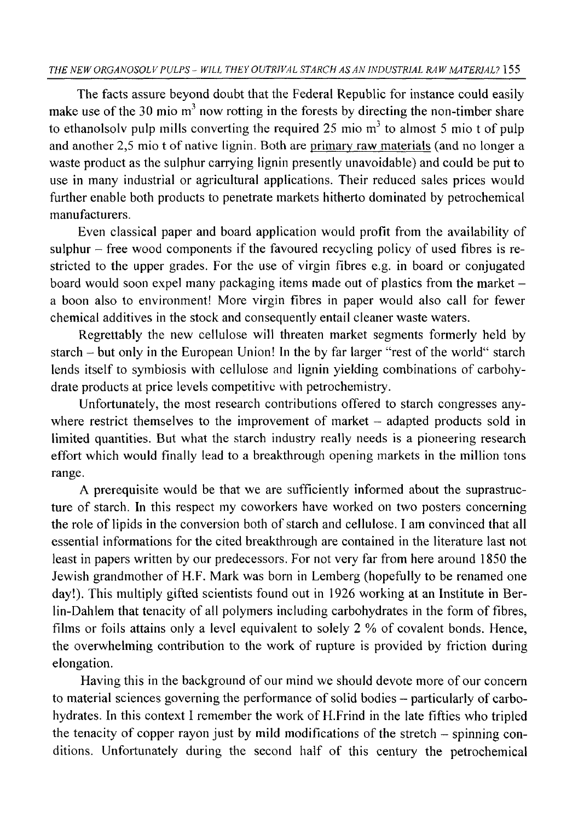The facts assure beyond doubt that the Federal Republic for instance could easily make use of the 30 mio  $m<sup>3</sup>$  now rotting in the forests by directing the non-timber share to ethanolsoly pulp mills converting the required 25 mio  $m<sup>3</sup>$  to almost 5 mio t of pulp and another 2,5 mio t of native lignin. Both are primary raw materials (and no longer a waste product as the sulphur carrying lignin presently unavoidable) and could be put to use in many industrial or agricultural applications. Their reduced sales prices would further enable both products to penetrate markets hitherto dominated by petrochemical manufacturers.

Even classical paper and board application would profit from the availability of sulphur – free wood components if the favoured recycling policy of used fibres is restricted to the upper grades. For the use of virgin fibres e.g. in board or conjugated board would soon expel many packaging items made out of plastics from the market a boon also to environment! More virgin fibres in paper would also call for fewer chemical additives in the stock and consequently entail cleaner waste waters.

Regrettably the new cellulose will threaten market segments formerly held by starch - but only in the European Union! In the by far larger "rest of the world" starch lends itself to symbiosis with cellulose and lignin yielding combinations of carbohydrate products at price levels competitive with petrochemistry.

Unfortunately, the most research contributions offered to starch congresses anywhere restrict themselves to the improvement of market  $-$  adapted products sold in limited quantities. But what the starch industry really needs is a pioneering research effort which would finally lead to a breakthrough opening markets in the million tons range.

A prerequisite would be that we are sufficiently informed about the suprastructure of starch. In this respect my coworkers have worked on two posters concerning the role of lipids in the conversion both of starch and cellulose. I am convinced that all essential informations for the cited breakthrough are contained in the literature last not least in papers written by our predecessors. For not very far from here around 1850 the Jewish grandmother of H.F. Mark was born in Lemberg (hopefully to be renamed one day!). This multiply gifted scientists found out in 1926 working at an Institute in Berlin-Dahlem that tenacity of all polymers including carbohydrates in the form of fibres, films or foils attains only a level equivalent to solely 2 % of covalent bonds. Hence, the overwhelming contribution to the work of rupture is provided by friction during elongation.

Having this in the background of our mind we should devote more of our concern to material sciences governing the performance of solid bodies - particularly of carbohydrates. In this context I remember the work of H.Frind in the late fifties who tripled the tenacity of copper rayon just by mild modifications of the stretch - spinning conditions. Unfortunately during the second half of this century the petrochemical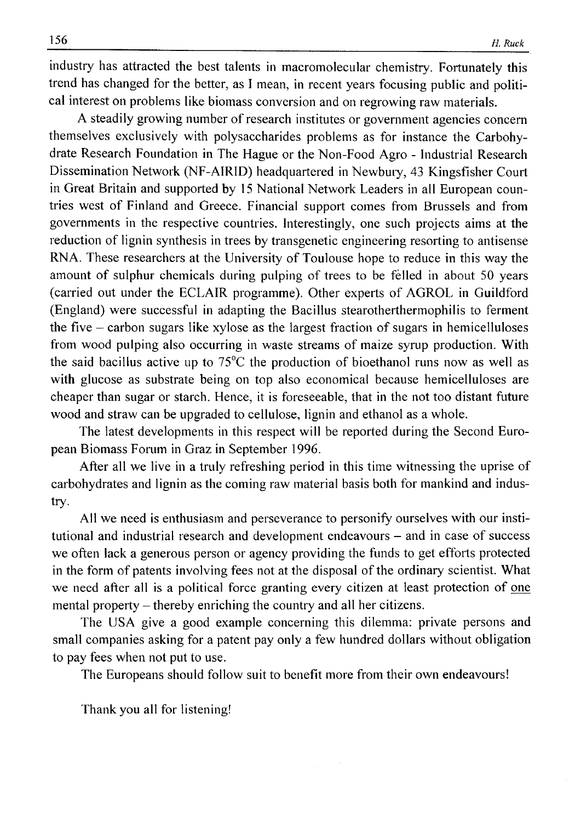industry has attracted the best talents in macromolecular chemistry. Fortunately this trend has changed for the better, as I mean, in recent years focusing public and political interest on problems like biomass conversion and on regrowing raw materials.

A steadily growing number of research institutes or government agencies concern themselves exclusively with polysaccharides problems as for instance the Carbohydrate Research Foundation in The Hague or the Non-Food Agro - Industrial Research Dissemination Network (NF-AIRID) headquartered in Newbury, 43 Kingsfisher Court in Great Britain and supported by 15 National Network Leaders in all European countries west of Finland and Greece. Financial support comes from Brussels and from governments in the respective countries. Interestingly, one such projects aims at the reduction of lignin synthesis in trees by transgenetic engineering resorting to antisense RNA. These researchers at the University of Toulouse hope to reduce in this way the amount of sulphur chemicals during pulping of trees to be felled in about 50 years (carried out under the ECLAIR programme). Other experts of AGROL in Guildford (England) were successful in adapting the Bacillus stearotherthermophilis to ferment the five - carbon sugars like xylose as the largest fraction of sugars in hemicelluloses from wood pulping also occurring in waste streams of maize syrup production. With the said bacillus active up to 75°C the production of bioethanol runs now as well as with glucose as substrate being on top also economical because hemicelluloses are cheaper than sugar or starch. Hence, it is foreseeable, that in the not too distant future wood and straw can be upgraded to cellulose, lignin and ethanol as a whole.

The latest developments in this respect will be reported during the Second European Biomass Forum in Graz in September 1996.

After all we live in a truly refreshing period in this time witnessing the uprise of carbohydrates and lignin as the coming raw material basis both for mankind and industry.

All we need is enthusiasm and perseverance to personify ourselves with our institutional and industrial research and development endeavours - and in case of success we often lack a generous person or agency providing the funds to get efforts protected in the form of patents involving fees not at the disposal of the ordinary scientist. What we need after all is a political force granting every citizen at least protection of one mental property – thereby enriching the country and all her citizens.

The USA give a good example concerning this dilemma: private persons and small companies asking for a patent pay only a few hundred dollars without obligation to pay fees when not put to use.

The Europeans should follow suit to benefit more from their own endeavours!

Thank you all for listening!